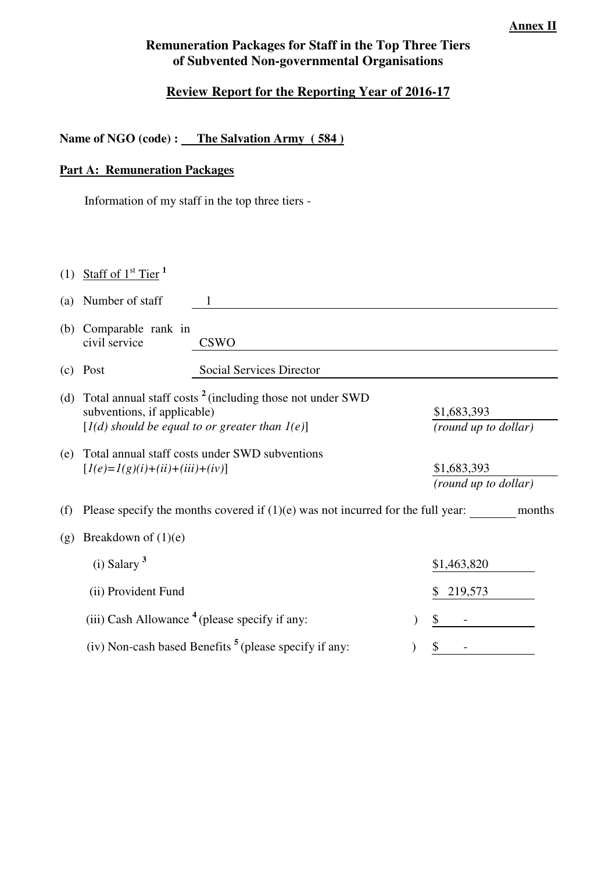### **Annex II**

# **Remuneration Packages for Staff in the Top Three Tiers of Subvented Non-governmental Organisations**

# **Review Report for the Reporting Year of 2016-17**

## Name of NGO (code) : The Salvation Army (584)

## **Part A: Remuneration Packages**

Information of my staff in the top three tiers -

|     | (1) Staff of $1st$ Tier <sup>1</sup>                                                                                                                       |                                                                   |                                     |  |  |
|-----|------------------------------------------------------------------------------------------------------------------------------------------------------------|-------------------------------------------------------------------|-------------------------------------|--|--|
| (a) | Number of staff                                                                                                                                            | 1                                                                 |                                     |  |  |
| (b) | Comparable rank in<br>civil service                                                                                                                        | CSWO                                                              |                                     |  |  |
| (c) | Post                                                                                                                                                       | Social Services Director                                          |                                     |  |  |
| (d) | Total annual staff costs <sup>2</sup> (including those not under SWD<br>subventions, if applicable)<br>$[I(d)$ should be equal to or greater than $I(e)$ ] | \$1,683,393<br>(round up to dollar)                               |                                     |  |  |
| (e) | Total annual staff costs under SWD subventions<br>$[I(e)=I(g)(i)+(ii)+(iii)+(iv)]$                                                                         |                                                                   | \$1,683,393<br>(round up to dollar) |  |  |
| (f) | Please specify the months covered if $(1)(e)$ was not incurred for the full year:<br>months                                                                |                                                                   |                                     |  |  |
| (g) | Breakdown of $(1)(e)$                                                                                                                                      |                                                                   |                                     |  |  |
|     | $(i)$ Salary <sup>3</sup>                                                                                                                                  |                                                                   | \$1,463,820                         |  |  |
|     | (ii) Provident Fund                                                                                                                                        |                                                                   | 219,573<br>S                        |  |  |
|     |                                                                                                                                                            | (iii) Cash Allowance <sup>4</sup> (please specify if any:         | \$                                  |  |  |
|     |                                                                                                                                                            | (iv) Non-cash based Benefits <sup>5</sup> (please specify if any: | \$                                  |  |  |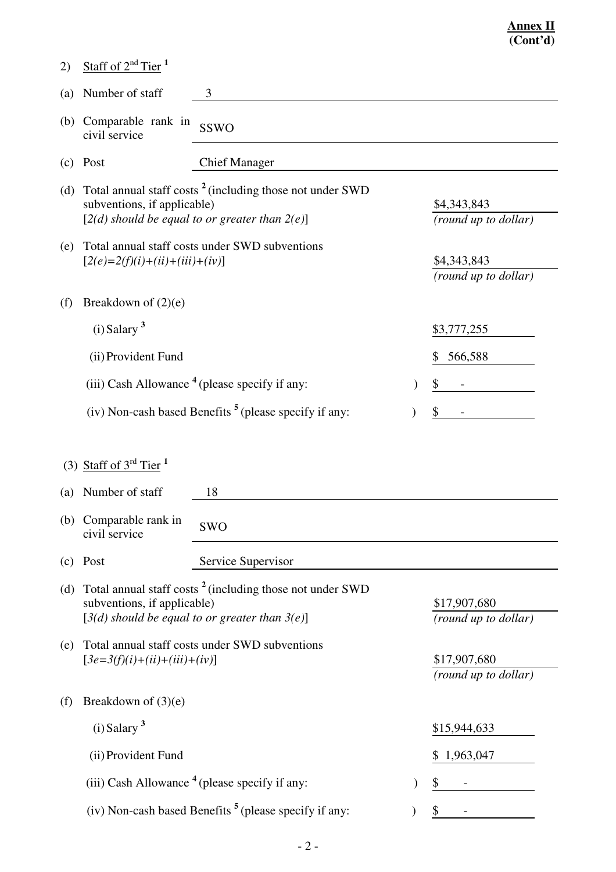| (2) | Staff of $2nd$ Tier <sup>1</sup>                                                                                                                           |                                                                                                                             |    |                                      |
|-----|------------------------------------------------------------------------------------------------------------------------------------------------------------|-----------------------------------------------------------------------------------------------------------------------------|----|--------------------------------------|
| (a) | Number of staff                                                                                                                                            | 3                                                                                                                           |    |                                      |
| (b) | Comparable rank in<br>civil service                                                                                                                        | <b>SSWO</b>                                                                                                                 |    |                                      |
| (c) | Post                                                                                                                                                       | <b>Chief Manager</b>                                                                                                        |    |                                      |
| (d) | Total annual staff costs <sup>2</sup> (including those not under SWD<br>subventions, if applicable)<br>$[2(d)$ should be equal to or greater than $2(e)$ ] |                                                                                                                             |    | \$4,343,843<br>(round up to dollar)  |
| (e) | Total annual staff costs under SWD subventions<br>$[2(e)=2(f)(i)+(ii)+(iii)+(iv)]$                                                                         |                                                                                                                             |    | \$4,343,843<br>(round up to dollar)  |
| (f) | Breakdown of $(2)(e)$                                                                                                                                      |                                                                                                                             |    |                                      |
|     | $(i)$ Salary $3$                                                                                                                                           |                                                                                                                             |    | \$3,777,255                          |
|     | (ii) Provident Fund                                                                                                                                        |                                                                                                                             |    | 566,588<br>\$                        |
|     |                                                                                                                                                            | (iii) Cash Allowance $4$ (please specify if any:                                                                            |    | \$                                   |
|     | (iv) Non-cash based Benefits $5$ (please specify if any:                                                                                                   |                                                                                                                             | \$ |                                      |
|     |                                                                                                                                                            |                                                                                                                             |    |                                      |
| (a) | (3) Staff of $3^{rd}$ Tier <sup>1</sup><br>Number of staff                                                                                                 | 18                                                                                                                          |    |                                      |
|     | (b) Comparable rank in<br>civil service                                                                                                                    | <b>SWO</b>                                                                                                                  |    |                                      |
| (c) | Post                                                                                                                                                       | Service Supervisor                                                                                                          |    |                                      |
| (d) | subventions, if applicable)                                                                                                                                | Total annual staff costs <sup>2</sup> (including those not under SWD<br>$[3(d)$ should be equal to or greater than $3(e)$ ] |    | \$17,907,680<br>(round up to dollar) |
| (e) | $[3e=3(f)(i)+(ii)+(iii)+(iv)]$                                                                                                                             | Total annual staff costs under SWD subventions                                                                              |    | \$17,907,680<br>(round up to dollar) |
| (f) | Breakdown of $(3)(e)$                                                                                                                                      |                                                                                                                             |    |                                      |
|     | $(i)$ Salary $3$                                                                                                                                           |                                                                                                                             |    | \$15,944,633                         |
|     | (ii) Provident Fund                                                                                                                                        |                                                                                                                             |    | 1,963,047                            |
|     |                                                                                                                                                            | (iii) Cash Allowance $4$ (please specify if any:                                                                            |    | \$                                   |